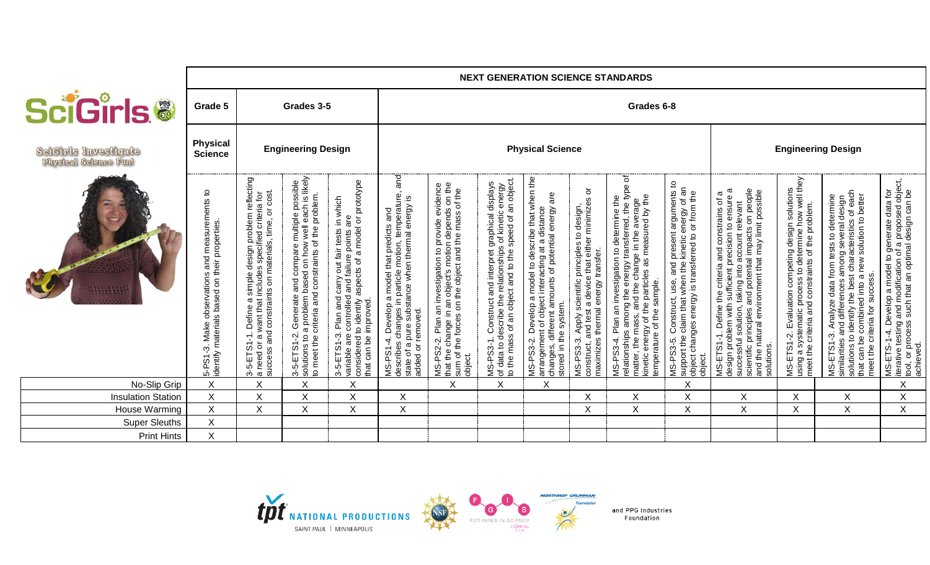|                                               | <b>NEXT GENERATION SCIENCE STANDARDS</b>                                                        |                                                                                                                                                                                 |                                                                                                                                                                                          |                                                                                                                                                                                              |                                                                                                                                                                                  |                                                                                                                                                                               |                                                                                                                                                                                                                                                      |                                                                                                                                                                                                                |                                                                                                                                                                 |                                                                                                                                                                                                                                                    |                                                                                                                                                                              |                                                                                                                                                                                                                                                                                              |                                                                                                                                                                |                                                                                                                                                                                                                                                                                       |                                                                                                                                                                                  |
|-----------------------------------------------|-------------------------------------------------------------------------------------------------|---------------------------------------------------------------------------------------------------------------------------------------------------------------------------------|------------------------------------------------------------------------------------------------------------------------------------------------------------------------------------------|----------------------------------------------------------------------------------------------------------------------------------------------------------------------------------------------|----------------------------------------------------------------------------------------------------------------------------------------------------------------------------------|-------------------------------------------------------------------------------------------------------------------------------------------------------------------------------|------------------------------------------------------------------------------------------------------------------------------------------------------------------------------------------------------------------------------------------------------|----------------------------------------------------------------------------------------------------------------------------------------------------------------------------------------------------------------|-----------------------------------------------------------------------------------------------------------------------------------------------------------------|----------------------------------------------------------------------------------------------------------------------------------------------------------------------------------------------------------------------------------------------------|------------------------------------------------------------------------------------------------------------------------------------------------------------------------------|----------------------------------------------------------------------------------------------------------------------------------------------------------------------------------------------------------------------------------------------------------------------------------------------|----------------------------------------------------------------------------------------------------------------------------------------------------------------|---------------------------------------------------------------------------------------------------------------------------------------------------------------------------------------------------------------------------------------------------------------------------------------|----------------------------------------------------------------------------------------------------------------------------------------------------------------------------------|
| <b>BciGirls.®</b>                             | Grade 5                                                                                         |                                                                                                                                                                                 | Grades 3-5                                                                                                                                                                               |                                                                                                                                                                                              | Grades 6-8                                                                                                                                                                       |                                                                                                                                                                               |                                                                                                                                                                                                                                                      |                                                                                                                                                                                                                |                                                                                                                                                                 |                                                                                                                                                                                                                                                    |                                                                                                                                                                              |                                                                                                                                                                                                                                                                                              |                                                                                                                                                                |                                                                                                                                                                                                                                                                                       |                                                                                                                                                                                  |
| SciCirls Investigate<br>Fhysical Science Funl | <b>Physical</b><br><b>Science</b>                                                               | <b>Engineering Design</b>                                                                                                                                                       |                                                                                                                                                                                          |                                                                                                                                                                                              |                                                                                                                                                                                  |                                                                                                                                                                               |                                                                                                                                                                                                                                                      | <b>Physical Science</b>                                                                                                                                                                                        | <b>Engineering Design</b>                                                                                                                                       |                                                                                                                                                                                                                                                    |                                                                                                                                                                              |                                                                                                                                                                                                                                                                                              |                                                                                                                                                                |                                                                                                                                                                                                                                                                                       |                                                                                                                                                                                  |
|                                               | 5-PS1-3. Make observations and measurements to<br>identify materials based on their properties. | 3-5-ETS1-1. Define a simple design problem reflecting<br>a need or a want that includes specified criteria for<br>cost.<br>on materials, time, or<br>and constraints<br>success | 3-5-ETS1-2. Generate and compare multiple possible<br>solutions to a problem based on how well each is likely<br>to meet the criteria and constraints of the problem.<br>of the problem. | a model or prototype<br>3-5-ETS1-3. Plan and carry out fair tests in which<br>variable are controlled and failure points are<br>to identify aspects of<br>that can be improved<br>considered | and<br>MS-PS1-4. Develop a model that predicts and<br>describes changes in particle motion, temperature,<br>state of a pure substance when thermal energy is<br>added or removed | MS-PS2-2. Plan an investigation to provide evidence<br>that the change in an object's motion depends on the<br>sum of the forces on the object and the mass of the<br>object. | s of kinetic energy<br>speed of an object<br>MS-PS3-1. Construct and interpret graphical displays<br>of data to describe the relationships of kinetic energy<br>to the mass of an object and to the speed of an object<br>MS-PS3-1.<br>of data to de | MS-PS3-2. Develop a model to describe that when the<br>arrangement of object interacting at a distance<br>changes, different amounts of potential energy are<br>changes, different am<br>stored in the system. | i. Apply scientific principles to design,<br>and test a device that either minimizes or<br>maximizes thermal energy transfer.<br><b>MS-PS3-3.</b><br>construct, | MS-PS3-4. Plan an investigation to determine the<br>relationships among the energy transferred, the type of<br>matter, the mass, and the change in the average<br>kinetic energy of the particles as measured by the<br>temperature of the sample. | MS-PS3-5. Construct, use, and present arguments to<br>support the claim that when the kinetic energy of an<br>object changes energy is transferred to or from the<br>object. | MS-ETS1-1. Define the criteria and constrains of a<br>design problem with sufficient precision to ensure a<br>scientific principles and potential impacts on people<br>and the natural environment that may limit possible<br>successful solution, taking into account relevant<br>solutions | MS-ETS1-2. Evaluation competing design solutions<br>using a systematic process to determine how well they<br>meet the criteria and constraints of the problem. | solutions to identify the best characteristics of each<br>MS-ETS1-3. Analyze data from tests to determine<br>similarities and differences among several design<br>solution to better<br>new<br><b>SUCCESS</b><br>$\sigma$<br>into<br>combined<br>meet the criteria for<br>that can be | MS-ETS-1-4. Develop a model to generate data for<br>iterative testing and modification of a proposed object,<br>tool, or process such that an optimal design can be<br>achieved. |
| No-Slip Grip                                  | $\mathsf X$                                                                                     | X                                                                                                                                                                               | X                                                                                                                                                                                        | X                                                                                                                                                                                            |                                                                                                                                                                                  | Χ                                                                                                                                                                             | Χ                                                                                                                                                                                                                                                    | Χ                                                                                                                                                                                                              |                                                                                                                                                                 |                                                                                                                                                                                                                                                    | X                                                                                                                                                                            |                                                                                                                                                                                                                                                                                              |                                                                                                                                                                |                                                                                                                                                                                                                                                                                       | $\mathsf X$                                                                                                                                                                      |
| <b>Insulation Station</b>                     | $\sf X$                                                                                         | X                                                                                                                                                                               | X                                                                                                                                                                                        | X                                                                                                                                                                                            | Χ                                                                                                                                                                                |                                                                                                                                                                               |                                                                                                                                                                                                                                                      |                                                                                                                                                                                                                | X                                                                                                                                                               | $\sf X$                                                                                                                                                                                                                                            | $\sf X$                                                                                                                                                                      | X                                                                                                                                                                                                                                                                                            | Χ                                                                                                                                                              | X                                                                                                                                                                                                                                                                                     | $\sf X$                                                                                                                                                                          |
| House Warming                                 | $\mathsf X$                                                                                     | $\mathsf X$                                                                                                                                                                     | Χ                                                                                                                                                                                        | Χ                                                                                                                                                                                            | X                                                                                                                                                                                |                                                                                                                                                                               |                                                                                                                                                                                                                                                      |                                                                                                                                                                                                                | X                                                                                                                                                               | $\sf X$                                                                                                                                                                                                                                            | X                                                                                                                                                                            | X                                                                                                                                                                                                                                                                                            | Χ                                                                                                                                                              | X                                                                                                                                                                                                                                                                                     | $\sf X$                                                                                                                                                                          |
| <b>Super Sleuths</b>                          | $\mathsf X$                                                                                     |                                                                                                                                                                                 |                                                                                                                                                                                          |                                                                                                                                                                                              |                                                                                                                                                                                  |                                                                                                                                                                               |                                                                                                                                                                                                                                                      |                                                                                                                                                                                                                |                                                                                                                                                                 |                                                                                                                                                                                                                                                    |                                                                                                                                                                              |                                                                                                                                                                                                                                                                                              |                                                                                                                                                                |                                                                                                                                                                                                                                                                                       |                                                                                                                                                                                  |
| <b>Print Hints</b>                            | X                                                                                               |                                                                                                                                                                                 |                                                                                                                                                                                          |                                                                                                                                                                                              |                                                                                                                                                                                  |                                                                                                                                                                               |                                                                                                                                                                                                                                                      |                                                                                                                                                                                                                |                                                                                                                                                                 |                                                                                                                                                                                                                                                    |                                                                                                                                                                              |                                                                                                                                                                                                                                                                                              |                                                                                                                                                                |                                                                                                                                                                                                                                                                                       |                                                                                                                                                                                  |



F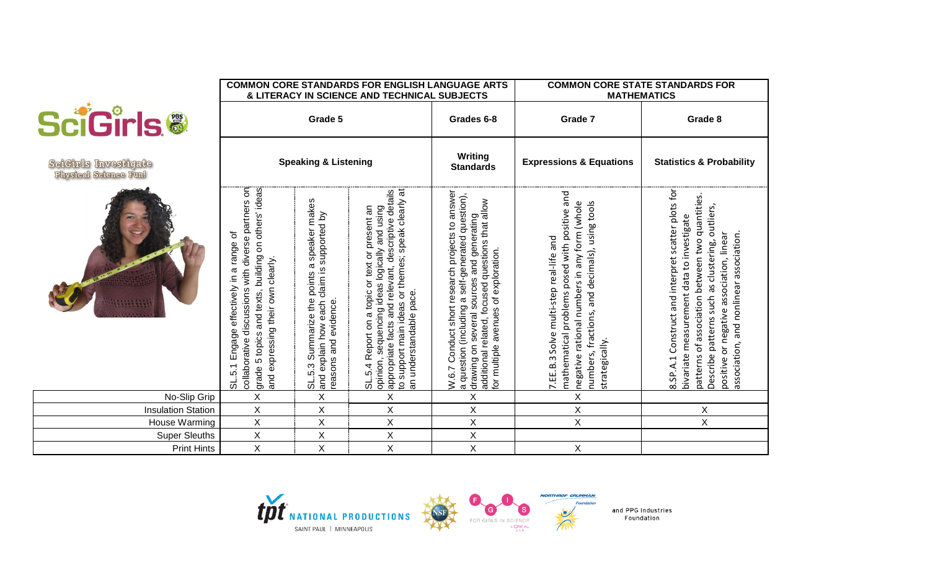|                                                      |                                                                                                                                                                                                       |                                                                                                                     | <b>COMMON CORE STANDARDS FOR ENGLISH LANGUAGE ARTS</b><br>& LITERACY IN SCIENCE AND TECHNICAL SUBJECTS                                                                                                                                   | <b>COMMON CORE STATE STANDARDS FOR</b><br><b>MATHEMATICS</b>                                                                                                                                                                                     |                                                                                                                                                                                                               |                                                                                                                                                                                                                                                                                                |  |  |  |
|------------------------------------------------------|-------------------------------------------------------------------------------------------------------------------------------------------------------------------------------------------------------|---------------------------------------------------------------------------------------------------------------------|------------------------------------------------------------------------------------------------------------------------------------------------------------------------------------------------------------------------------------------|--------------------------------------------------------------------------------------------------------------------------------------------------------------------------------------------------------------------------------------------------|---------------------------------------------------------------------------------------------------------------------------------------------------------------------------------------------------------------|------------------------------------------------------------------------------------------------------------------------------------------------------------------------------------------------------------------------------------------------------------------------------------------------|--|--|--|
| <b>SciGirls®</b>                                     |                                                                                                                                                                                                       | Grade 5                                                                                                             |                                                                                                                                                                                                                                          | Grades 6-8                                                                                                                                                                                                                                       | Grade 7                                                                                                                                                                                                       | Grade 8                                                                                                                                                                                                                                                                                        |  |  |  |
| SeiCirls Investigate<br><b>Physical Science Funl</b> |                                                                                                                                                                                                       | <b>Speaking &amp; Listening</b>                                                                                     |                                                                                                                                                                                                                                          | Writing<br><b>Standards</b>                                                                                                                                                                                                                      | <b>Expressions &amp; Equations</b>                                                                                                                                                                            | <b>Statistics &amp; Probability</b>                                                                                                                                                                                                                                                            |  |  |  |
|                                                      | collaborative discussions with diverse partners on<br>and texts, building on others' ideas<br>effectively in a range of<br>and expressing their own clearly.<br>5.1 Engage<br>5 topics<br>grade:<br>ಕ | SL.5.3 Summarize the points a speaker makes<br>claim is supported by<br>easons and evidence<br>and explain how each | appropriate facts and relevant, descriptive details<br>to support main ideas or themes; speak clearly at<br>SL.5.4 Report on a topic or text or present an<br>sequencing ideas logically and using<br>an understandable pace<br>opinion, | Conduct short research projects to answer<br>a question (including a self-generated question),<br>drawing on several sources and generating<br>additional related, focused questions that allow<br>for multiple avenues of exploration.<br>W.6.7 | mathematical problems posed with positive and<br>numbers, fractions, and decimals), using tools<br>negative rational numbers in any form (whole<br>7. EE.B.3 Solve multi-step real-life and<br>strategically. | Construct and interpret scatter plots for<br>patterns of association between two quantities<br>Describe patterns such as clustering, outliers,<br>bivariate measurement data to investigate<br>positive or negative association, linear<br>association, and nonlinear association.<br>8.SP.A.1 |  |  |  |
| No-Slip Grip                                         | $\mathsf X$                                                                                                                                                                                           | X                                                                                                                   | X                                                                                                                                                                                                                                        | $\pmb{\times}$                                                                                                                                                                                                                                   | $\mathsf X$                                                                                                                                                                                                   |                                                                                                                                                                                                                                                                                                |  |  |  |
| <b>Insulation Station</b>                            | $\mathsf X$                                                                                                                                                                                           | X                                                                                                                   | X                                                                                                                                                                                                                                        | X                                                                                                                                                                                                                                                | X                                                                                                                                                                                                             | X                                                                                                                                                                                                                                                                                              |  |  |  |
| House Warming                                        | $\mathsf{X}$                                                                                                                                                                                          | X                                                                                                                   | X                                                                                                                                                                                                                                        | $\sf X$                                                                                                                                                                                                                                          | X                                                                                                                                                                                                             | X                                                                                                                                                                                                                                                                                              |  |  |  |
| <b>Super Sleuths</b>                                 | $\sf X$                                                                                                                                                                                               | $\sf X$                                                                                                             | X                                                                                                                                                                                                                                        | $\overline{\mathsf{X}}$                                                                                                                                                                                                                          |                                                                                                                                                                                                               |                                                                                                                                                                                                                                                                                                |  |  |  |
| <b>Print Hints</b>                                   | $\sf X$                                                                                                                                                                                               | X                                                                                                                   | Χ                                                                                                                                                                                                                                        | Χ                                                                                                                                                                                                                                                | X                                                                                                                                                                                                             |                                                                                                                                                                                                                                                                                                |  |  |  |